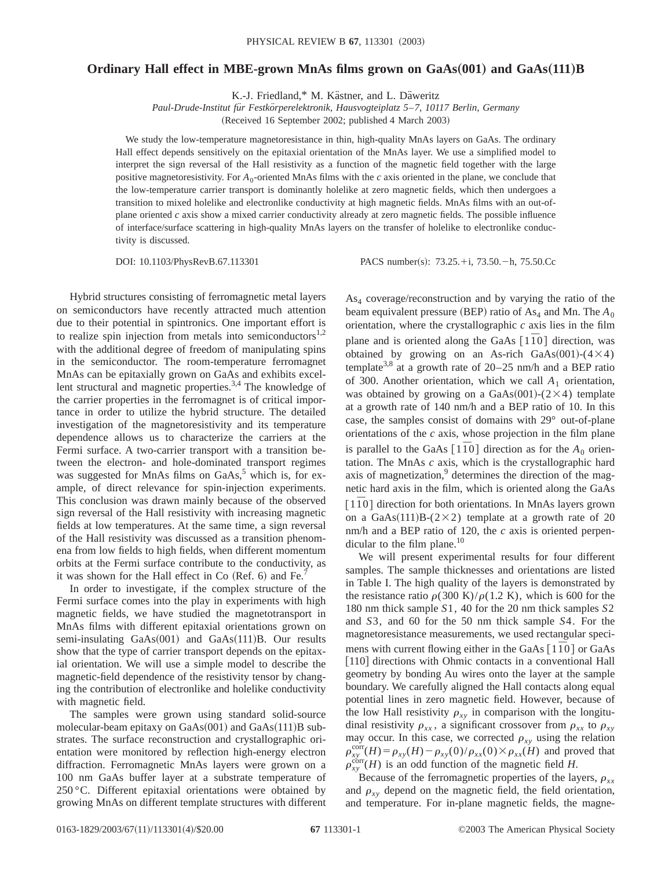## **Ordinary Hall effect in MBE-grown MnAs films grown on GaAs**"**001**… **and GaAs**"**111**…**B**

K.-J. Friedland,\* M. Kästner, and L. Däweritz

*Paul-Drude-Institut fu¨r Festko¨rperelektronik, Hausvogteiplatz 5*–*7, 10117 Berlin, Germany*

(Received 16 September 2002; published 4 March 2003)

We study the low-temperature magnetoresistance in thin, high-quality MnAs layers on GaAs. The ordinary Hall effect depends sensitively on the epitaxial orientation of the MnAs layer. We use a simplified model to interpret the sign reversal of the Hall resistivity as a function of the magnetic field together with the large positive magnetoresistivity. For  $A_0$ -oriented MnAs films with the *c* axis oriented in the plane, we conclude that the low-temperature carrier transport is dominantly holelike at zero magnetic fields, which then undergoes a transition to mixed holelike and electronlike conductivity at high magnetic fields. MnAs films with an out-ofplane oriented *c* axis show a mixed carrier conductivity already at zero magnetic fields. The possible influence of interface/surface scattering in high-quality MnAs layers on the transfer of holelike to electronlike conductivity is discussed.

DOI: 10.1103/PhysRevB.67.113301 PACS number(s): 73.25.+i, 73.50.-h, 75.50.Cc

Hybrid structures consisting of ferromagnetic metal layers on semiconductors have recently attracted much attention due to their potential in spintronics. One important effort is to realize spin injection from metals into semiconductors<sup>1,2</sup> with the additional degree of freedom of manipulating spins in the semiconductor. The room-temperature ferromagnet MnAs can be epitaxially grown on GaAs and exhibits excellent structural and magnetic properties.<sup>3,4</sup> The knowledge of the carrier properties in the ferromagnet is of critical importance in order to utilize the hybrid structure. The detailed investigation of the magnetoresistivity and its temperature dependence allows us to characterize the carriers at the Fermi surface. A two-carrier transport with a transition between the electron- and hole-dominated transport regimes was suggested for MnAs films on  $GaAs$ ,<sup>5</sup> which is, for example, of direct relevance for spin-injection experiments. This conclusion was drawn mainly because of the observed sign reversal of the Hall resistivity with increasing magnetic fields at low temperatures. At the same time, a sign reversal of the Hall resistivity was discussed as a transition phenomena from low fields to high fields, when different momentum orbits at the Fermi surface contribute to the conductivity, as it was shown for the Hall effect in Co  $(Ref. 6)$  and Fe.<sup>7</sup>

In order to investigate, if the complex structure of the Fermi surface comes into the play in experiments with high magnetic fields, we have studied the magnetotransport in MnAs films with different epitaxial orientations grown on semi-insulating  $GaAs(001)$  and  $GaAs(111)B$ . Our results show that the type of carrier transport depends on the epitaxial orientation. We will use a simple model to describe the magnetic-field dependence of the resistivity tensor by changing the contribution of electronlike and holelike conductivity with magnetic field.

The samples were grown using standard solid-source molecular-beam epitaxy on  $GaAs(001)$  and  $GaAs(111)B$  substrates. The surface reconstruction and crystallographic orientation were monitored by reflection high-energy electron diffraction. Ferromagnetic MnAs layers were grown on a 100 nm GaAs buffer layer at a substrate temperature of 250 °C. Different epitaxial orientations were obtained by growing MnAs on different template structures with different  $As<sub>4</sub> coverage/reconstruction$  and by varying the ratio of the beam equivalent pressure (BEP) ratio of  $As_4$  and Mn. The  $A_0$ orientation, where the crystallographic *c* axis lies in the film plane and is oriented along the GaAs  $\lceil 1\bar{1}0 \rceil$  direction, was obtained by growing on an As-rich GaAs $(001)-(4\times4)$ template<sup>3,8</sup> at a growth rate of  $20-25$  nm/h and a BEP ratio of 300. Another orientation, which we call *A*<sup>1</sup> orientation, was obtained by growing on a GaAs $(001)-(2\times4)$  template at a growth rate of 140 nm/h and a BEP ratio of 10. In this case, the samples consist of domains with 29° out-of-plane orientations of the *c* axis, whose projection in the film plane is parallel to the GaAs  $[1\overline{1}0]$  direction as for the  $A_0$  orientation. The MnAs *c* axis, which is the crystallographic hard axis of magnetization, $9$  determines the direction of the magnetic hard axis in the film, which is oriented along the GaAs  $\lceil 1\overline{1}0 \rceil$  direction for both orientations. In MnAs layers grown on a GaAs $(111)B-(2\times2)$  template at a growth rate of 20 nm/h and a BEP ratio of 120, the *c* axis is oriented perpendicular to the film plane. $10$ 

We will present experimental results for four different samples. The sample thicknesses and orientations are listed in Table I. The high quality of the layers is demonstrated by the resistance ratio  $\rho(300 \text{ K})/\rho(1.2 \text{ K})$ , which is 600 for the 180 nm thick sample *S*1, 40 for the 20 nm thick samples *S*2 and *S*3, and 60 for the 50 nm thick sample *S*4. For the magnetoresistance measurements, we used rectangular specimens with current flowing either in the GaAs  $\lceil 1\bar{1}0 \rceil$  or GaAs [110] directions with Ohmic contacts in a conventional Hall geometry by bonding Au wires onto the layer at the sample boundary. We carefully aligned the Hall contacts along equal potential lines in zero magnetic field. However, because of the low Hall resistivity  $\rho_{xy}$  in comparison with the longitudinal resistivity  $\rho_{xx}$ , a significant crossover from  $\rho_{xx}$  to  $\rho_{xy}$ may occur. In this case, we corrected  $\rho_{xy}$  using the relation  $\rho_{xy}^{\text{corr}}(H) = \rho_{xy}(H) - \rho_{xy}(0)/\rho_{xx}(0) \times \rho_{xx}(H)$  and proved that  $\rho_{xy}^{\text{corr}}(H)$  is an odd function of the magnetic field *H*.

Because of the ferromagnetic properties of the layers,  $\rho_{xx}$ and  $\rho_{xy}$  depend on the magnetic field, the field orientation, and temperature. For in-plane magnetic fields, the magne-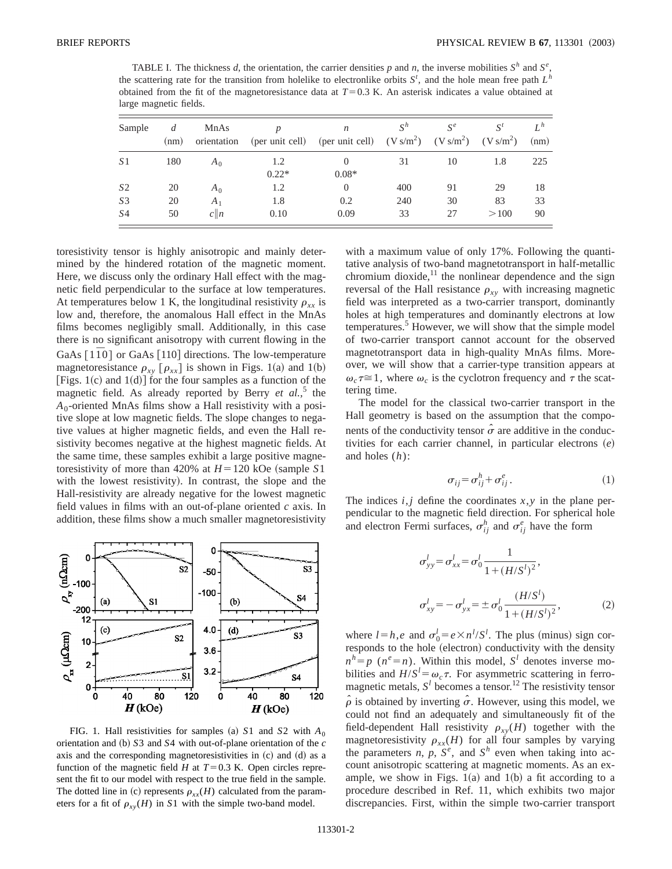TABLE I. The thickness *d*, the orientation, the carrier densities *p* and *n*, the inverse mobilities  $S^h$  and  $S^e$ , the scattering rate for the transition from holelike to electronlike orbits  $S^t$ , and the hole mean free path  $L^h$ obtained from the fit of the magnetoresistance data at  $T=0.3$  K. An asterisk indicates a value obtained at large magnetic fields.

| Sample         | (nm) | MnAs<br>orientation |                | $\boldsymbol{n}$<br>(per unit cell) (per unit cell) $(V s/m^2)$ $(V s/m^2)$ $(V s/m^2)$ | $S^h$ | $S^e$ | $S^t$ | $L^h$<br>(nm) |
|----------------|------|---------------------|----------------|-----------------------------------------------------------------------------------------|-------|-------|-------|---------------|
| S <sub>1</sub> | 180  | A <sub>0</sub>      | 1.2<br>$0.22*$ | $0.08*$                                                                                 | 31    | 10    | 1.8   | 225           |
| S <sub>2</sub> | 20   | $A_0$               | 1.2            | $\Omega$                                                                                | 400   | 91    | 29    | 18            |
| S3             | 20   | $A_1$               | 1.8            | 0.2                                                                                     | 240   | 30    | 83    | 33            |
| S <sub>4</sub> | 50   | c  n                | 0.10           | 0.09                                                                                    | 33    | 27    | >100  | 90            |

toresistivity tensor is highly anisotropic and mainly determined by the hindered rotation of the magnetic moment. Here, we discuss only the ordinary Hall effect with the magnetic field perpendicular to the surface at low temperatures. At temperatures below 1 K, the longitudinal resistivity  $\rho_{xx}$  is low and, therefore, the anomalous Hall effect in the MnAs films becomes negligibly small. Additionally, in this case there is no significant anisotropy with current flowing in the GaAs  $[1\overline{1}0]$  or GaAs  $[110]$  directions. The low-temperature magnetoresistance  $\rho_{xy}$  [ $\rho_{xx}$ ] is shown in Figs. 1(a) and 1(b) [Figs. 1(c) and 1(d)] for the four samples as a function of the magnetic field. As already reported by Berry *et al.*,<sup>5</sup> the *A*0-oriented MnAs films show a Hall resistivity with a positive slope at low magnetic fields. The slope changes to negative values at higher magnetic fields, and even the Hall resistivity becomes negative at the highest magnetic fields. At the same time, these samples exhibit a large positive magnetoresistivity of more than 420% at  $H=120$  kOe (sample S1) with the lowest resistivity). In contrast, the slope and the Hall-resistivity are already negative for the lowest magnetic field values in films with an out-of-plane oriented *c* axis. In addition, these films show a much smaller magnetoresistivity



FIG. 1. Hall resistivities for samples (a) S1 and S2 with  $A_0$ orientation and (b)  $S3$  and  $S4$  with out-of-plane orientation of the  $c$ axis and the corresponding magnetoresistivities in  $(c)$  and  $(d)$  as a function of the magnetic field *H* at  $T=0.3$  K. Open circles represent the fit to our model with respect to the true field in the sample. The dotted line in (c) represents  $\rho_{xx}(H)$  calculated from the parameters for a fit of  $\rho_{xy}(H)$  in *S*1 with the simple two-band model.

with a maximum value of only 17%. Following the quantitative analysis of two-band magnetotransport in half-metallic chromium dioxide, $^{11}$  the nonlinear dependence and the sign reversal of the Hall resistance  $\rho_{xy}$  with increasing magnetic field was interpreted as a two-carrier transport, dominantly holes at high temperatures and dominantly electrons at low temperatures.<sup>5</sup> However, we will show that the simple model of two-carrier transport cannot account for the observed magnetotransport data in high-quality MnAs films. Moreover, we will show that a carrier-type transition appears at  $\omega_c \tau \approx 1$ , where  $\omega_c$  is the cyclotron frequency and  $\tau$  the scattering time.

The model for the classical two-carrier transport in the Hall geometry is based on the assumption that the components of the conductivity tensor  $\hat{\sigma}$  are additive in the conductivities for each carrier channel, in particular electrons  $(e)$ and holes (*h*):

$$
\sigma_{ij} = \sigma_{ij}^h + \sigma_{ij}^e. \tag{1}
$$

The indices  $i, j$  define the coordinates  $x, y$  in the plane perpendicular to the magnetic field direction. For spherical hole and electron Fermi surfaces,  $\sigma_{ij}^h$  and  $\sigma_{ij}^e$  have the form

$$
\sigma_{yy}^l = \sigma_{xx}^l = \sigma_0^l \frac{1}{1 + (H/S^l)^2},
$$
  

$$
\sigma_{xy}^l = -\sigma_{yx}^l = \pm \sigma_0^l \frac{(H/S^l)}{1 + (H/S^l)^2},
$$
 (2)

where  $l = h$ ,*e* and  $\sigma_0^l = e \times n^l / S^l$ . The plus (minus) sign corresponds to the hole (electron) conductivity with the density  $n^h = p$  ( $n^e = n$ ). Within this model,  $S^l$  denotes inverse mobilities and  $H/S^l = \omega_c \tau$ . For asymmetric scattering in ferromagnetic metals,  $S^l$  becomes a tensor.<sup>12</sup> The resistivity tensor  $\hat{\rho}$  is obtained by inverting  $\hat{\sigma}$ . However, using this model, we could not find an adequately and simultaneously fit of the field-dependent Hall resistivity  $\rho_{xy}(H)$  together with the magnetoresistivity  $\rho_{xx}(H)$  for all four samples by varying the parameters *n*,  $p$ ,  $S^e$ , and  $S^h$  even when taking into account anisotropic scattering at magnetic moments. As an example, we show in Figs.  $1(a)$  and  $1(b)$  a fit according to a procedure described in Ref. 11, which exhibits two major discrepancies. First, within the simple two-carrier transport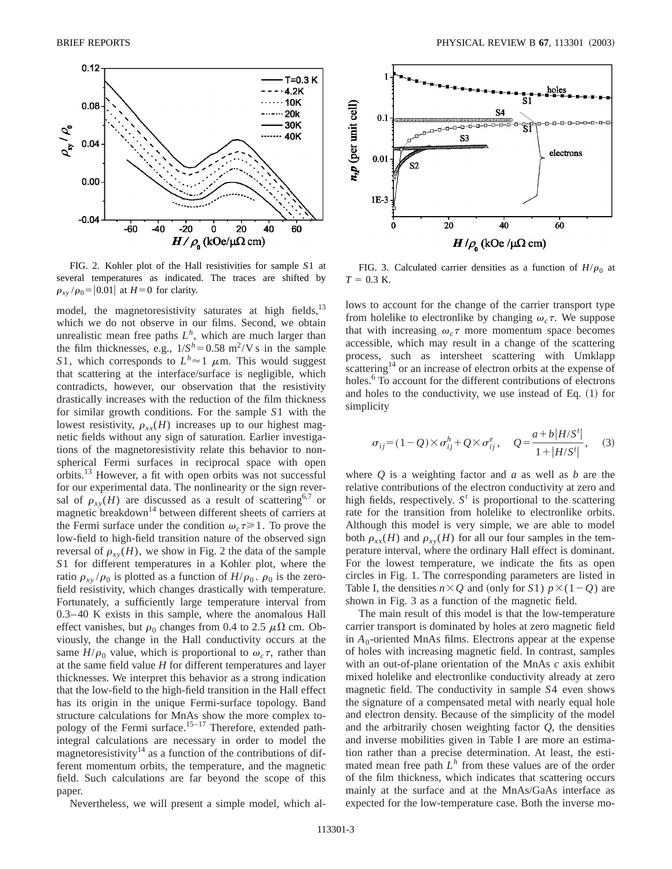

FIG. 2. Kohler plot of the Hall resistivities for sample *S*1 at several temperatures as indicated. The traces are shifted by  $\rho_{xy}$  / $\rho_0$ = | 0.01| at *H* = 0 for clarity.

model, the magnetoresistivity saturates at high fields,<sup>13</sup> which we do not observe in our films. Second, we obtain unrealistic mean free paths  $L^h$ , which are much larger than the film thicknesses, e.g.,  $1/S<sup>h</sup>=0.58$  m<sup>2</sup>/V s in the sample *S*1, which corresponds to  $L^h \approx 1$   $\mu$ m. This would suggest that scattering at the interface/surface is negligible, which contradicts, however, our observation that the resistivity drastically increases with the reduction of the film thickness for similar growth conditions. For the sample *S*1 with the lowest resistivity,  $\rho_{rr}(H)$  increases up to our highest magnetic fields without any sign of saturation. Earlier investigations of the magnetoresistivity relate this behavior to nonspherical Fermi surfaces in reciprocal space with open orbits.13 However, a fit with open orbits was not successful for our experimental data. The nonlinearity or the sign reversal of  $\rho_{xy}(H)$  are discussed as a result of scattering<sup>6,7</sup> or magnetic breakdown<sup>14</sup> between different sheets of carriers at the Fermi surface under the condition  $\omega_c \tau \geq 1$ . To prove the low-field to high-field transition nature of the observed sign reversal of  $\rho_{rv}(H)$ , we show in Fig. 2 the data of the sample *S*1 for different temperatures in a Kohler plot, where the ratio  $\rho_{xy}/\rho_0$  is plotted as a function of  $H/\rho_0$ .  $\rho_0$  is the zerofield resistivity, which changes drastically with temperature. Fortunately, a sufficiently large temperature interval from 0.3–40 K exists in this sample, where the anomalous Hall effect vanishes, but  $\rho_0$  changes from 0.4 to 2.5  $\mu\Omega$  cm. Obviously, the change in the Hall conductivity occurs at the same  $H/\rho_0$  value, which is proportional to  $\omega_c \tau$ , rather than at the same field value *H* for different temperatures and layer thicknesses. We interpret this behavior as a strong indication that the low-field to the high-field transition in the Hall effect has its origin in the unique Fermi-surface topology. Band structure calculations for MnAs show the more complex topology of the Fermi surface.<sup>15-17</sup> Therefore, extended pathintegral calculations are necessary in order to model the magnetoresistivity<sup>14</sup> as a function of the contributions of different momentum orbits, the temperature, and the magnetic field. Such calculations are far beyond the scope of this paper.

Nevertheless, we will present a simple model, which al-



FIG. 3. Calculated carrier densities as a function of  $H/\rho_0$  at  $T = 0.3$  K.

lows to account for the change of the carrier transport type from holelike to electronlike by changing  $\omega_c \tau$ . We suppose that with increasing  $\omega_c \tau$  more momentum space becomes accessible, which may result in a change of the scattering process, such as intersheet scattering with Umklapp scattering<sup>14</sup> or an increase of electron orbits at the expense of holes.<sup>6</sup> To account for the different contributions of electrons and holes to the conductivity, we use instead of Eq.  $(1)$  for simplicity

$$
\sigma_{ij} = (1 - Q) \times \sigma_{ij}^h + Q \times \sigma_{ij}^e, \quad Q = \frac{a + b |H/S^t|}{1 + |H/S^t|}, \quad (3)
$$

where *Q* is a weighting factor and *a* as well as *b* are the relative contributions of the electron conductivity at zero and high fields, respectively.  $S<sup>t</sup>$  is proportional to the scattering rate for the transition from holelike to electronlike orbits. Although this model is very simple, we are able to model both  $\rho_{rr}(H)$  and  $\rho_{rr}(H)$  for all our four samples in the temperature interval, where the ordinary Hall effect is dominant. For the lowest temperature, we indicate the fits as open circles in Fig. 1. The corresponding parameters are listed in Table I, the densities  $n \times Q$  and (only for *S*1)  $p \times (1-Q)$  are shown in Fig. 3 as a function of the magnetic field.

The main result of this model is that the low-temperature carrier transport is dominated by holes at zero magnetic field in  $A_0$ -oriented MnAs films. Electrons appear at the expense of holes with increasing magnetic field. In contrast, samples with an out-of-plane orientation of the MnAs *c* axis exhibit mixed holelike and electronlike conductivity already at zero magnetic field. The conductivity in sample *S*4 even shows the signature of a compensated metal with nearly equal hole and electron density. Because of the simplicity of the model and the arbitrarily chosen weighting factor *Q*, the densities and inverse mobilities given in Table I are more an estimation rather than a precise determination. At least, the estimated mean free path  $L^h$  from these values are of the order of the film thickness, which indicates that scattering occurs mainly at the surface and at the MnAs/GaAs interface as expected for the low-temperature case. Both the inverse mo-